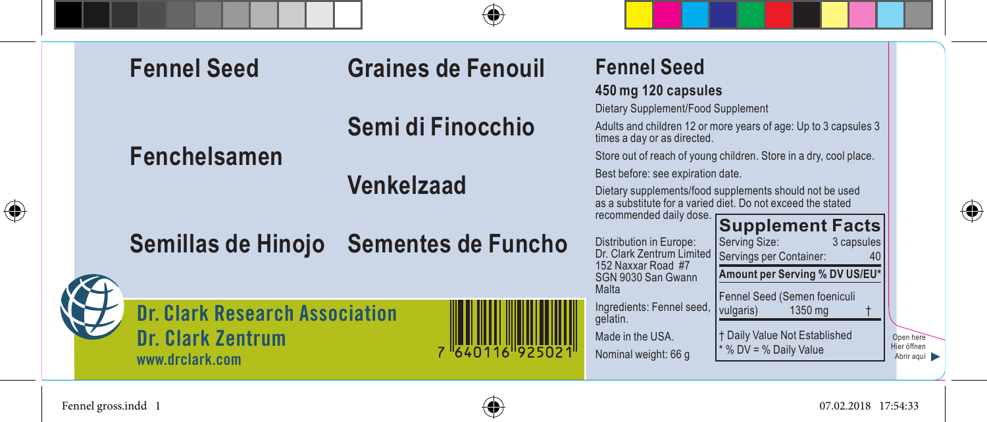| <b>Fennel Seed</b>                                                                   | <b>Graines de Fenouil</b>             | <b>Fennel Seed</b><br>450 mg 120 capsules                                                                                                                                                                                              |                                        |
|--------------------------------------------------------------------------------------|---------------------------------------|----------------------------------------------------------------------------------------------------------------------------------------------------------------------------------------------------------------------------------------|----------------------------------------|
| <b>Fenchelsamen</b>                                                                  | Semi di Finocchio                     | Dietary Supplement/Food Supplement<br>Adults and children 12 or more years of age: Up to 3 capsules 3<br>times a day or as directed.<br>Store out of reach of young children. Store in a dry, cool place.                              |                                        |
|                                                                                      | <b>Venkelzaad</b>                     | Best before: see expiration date.<br>Dietary supplements/food supplements should not be used<br>as a substitute for a varied diet. Do not exceed the stated<br>recommended daily dose.                                                 |                                        |
|                                                                                      | Semillas de Hinojo Sementes de Funcho | <b>Supplement Facts</b><br>Distribution in Europe:<br>Serving Size:<br>3 capsules<br>Dr. Clark Zentrum Limited<br>Servings per Container:<br>40<br>152 Naxxar Road #7<br>Amount per Serving % DV US/EU*<br>SGN 9030 San Gwann<br>Malta |                                        |
| <b>Dr. Clark Research Association</b><br><b>Dr. Clark Zentrum</b><br>www.drclark.com | 1640116 9250                          | Fennel Seed (Semen foeniculi<br>Ingredients: Fennel seed,<br>vulgaris)<br>1350 mg<br>gelatin.<br><b>t Daily Value Not Established</b><br>Made in the USA.<br>* % DV = % Daily Value<br>Nominal weight: 66 g                            | Open here<br>Hier öffnen<br>Abrir aguí |

Fennel gross.indd 1 07.02.2018 17:54:33

 $\bigoplus$ 



 $\bigoplus$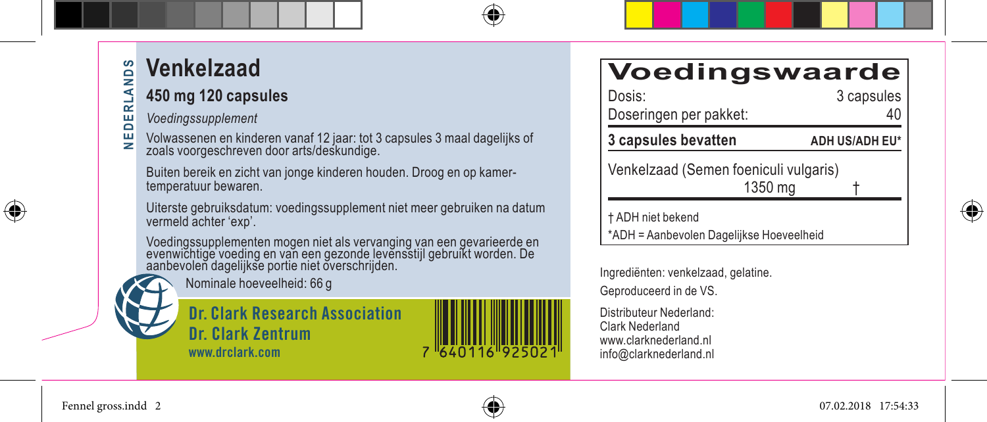# **Venkelzaad**

### **450 mg 120 capsules**

*Voedingssupplement*

핒 Volwassenen en kinderen vanaf 12 jaar: tot 3 capsules 3 maal dagelijks of zoals voorgeschreven door arts/deskundige.

Buiten bereik en zicht van jonge kinderen houden. Droog en op kamertemperatuur bewaren.

Uiterste gebruiksdatum: voedingssupplement niet meer gebruiken na datum vermeld achter 'exp'.

Voedingssupplementen mogen niet als vervanging van een gevarieerde en evenwichtige voeding en van een gezonde levensstijl gebruikt worden. De aanbevolen dagelijkse portie niet overschrijden.

Nominale hoeveelheid: 66 g

**Dr. Clark Research Association Dr. Clark Zentrum www.drclark.com**



### **Voedingswaarde**

| Dosis:                                | 3 capsules     |
|---------------------------------------|----------------|
| Doseringen per pakket:                | 40             |
| 3 capsules bevatten                   | ADH US/ADH EU* |
| Venkelzaad (Semen foeniculi vulgaris) |                |

 $1350$  ma

† ADH niet bekend

\*ADH = Aanbevolen Dagelijkse Hoeveelheid

Ingrediënten: venkelzaad, gelatine. Geproduceerd in de VS.

Distributeur Nederland: Clark Nederland www.clarknederland.nl info@clarknederland.nl



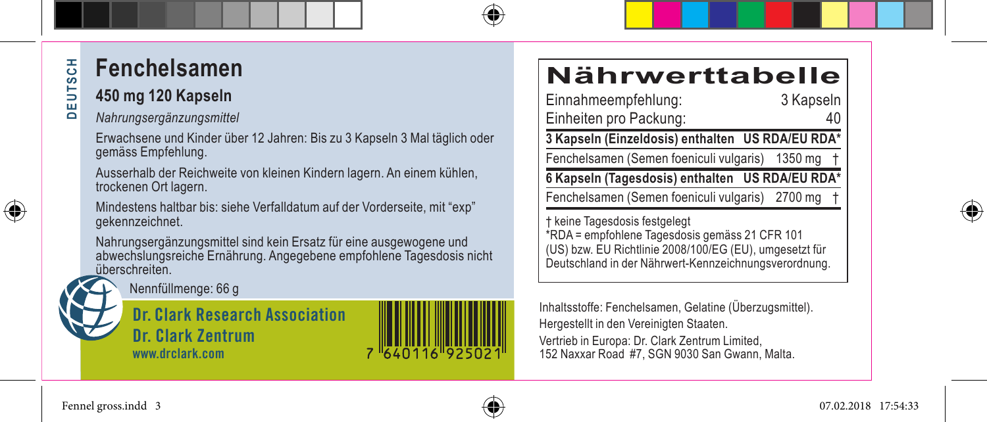# **DEUTSCH DEUTSCH**

### **Fenchelsamen**

### **450 mg 120 Kapseln**

#### *Nahrungsergänzungsmittel*

Erwachsene und Kinder über 12 Jahren: Bis zu 3 Kapseln 3 Mal täglich oder gemäss Empfehlung.

Ausserhalb der Reichweite von kleinen Kindern lagern. An einem kühlen, trockenen Ort lagern.

Mindestens haltbar bis: siehe Verfalldatum auf der Vorderseite, mit "exp" gekennzeichnet.

Nahrungsergänzungsmittel sind kein Ersatz für eine ausgewogene und abwechslungsreiche Ernährung. Angegebene empfohlene Tagesdosis nicht überschreiten.



**Dr. Clark Research Association Dr. Clark Zentrum www.drclark.com**

### **Nährwerttabelle**

| Einnahmeempfehlung:                              | 3 Kapseln |
|--------------------------------------------------|-----------|
| Einheiten pro Packung:                           |           |
| 3 Kapseln (Einzeldosis) enthalten US RDA/EU RDA* |           |
| Fenchelsamen (Semen foeniculi vulgaris) 1350 mg  |           |
| 6 Kapseln (Tagesdosis) enthalten US RDA/EU RDA*  |           |
| Fenchelsamen (Semen foeniculi vulgaris) 2700 mg  |           |
| † keine Tagesdosis festgelegt                    |           |

† keine Tagesdosis festgelegt \*RDA = empfohlene Tagesdosis gemäss 21 CFR 101 (US) bzw. EU Richtlinie 2008/100/EG (EU), umgesetzt für Deutschland in der Nährwert-Kennzeichnungsverordnung.

Inhaltsstoffe: Fenchelsamen, Gelatine (Überzugsmittel). Hergestellt in den Vereinigten Staaten.

Vertrieb in Europa: Dr. Clark Zentrum Limited, 152 Naxxar Road #7, SGN 9030 San Gwann, Malta.



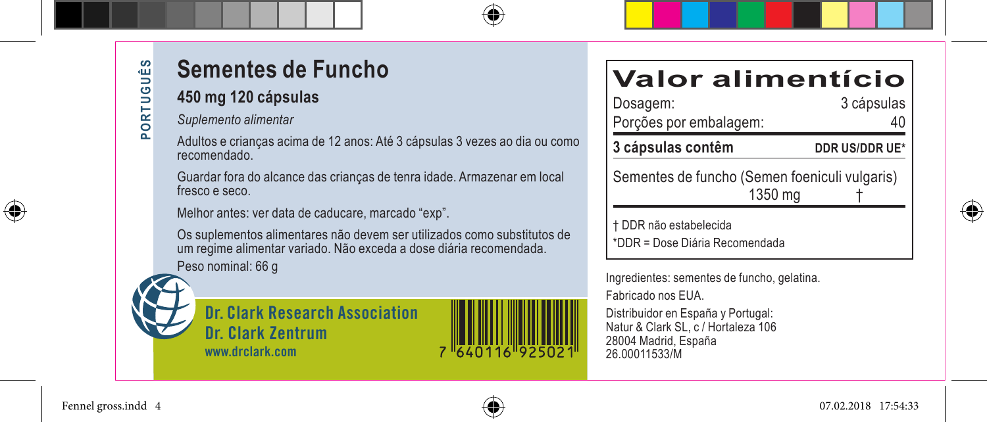### **Sementes de Funcho**

#### **450 mg 120 cápsulas**

- *Suplemento alimentar*
- Adultos e crianças acima de 12 anos: Até 3 cápsulas 3 vezes ao dia ou como recomendado.

Guardar fora do alcance das crianças de tenra idade. Armazenar em local fresco e seco.

Melhor antes: ver data de caducare, marcado "exp".

Os suplementos alimentares não devem ser utilizados como substitutos de um regime alimentar variado. Não exceda a dose diária recomendada. Peso nominal: 66 g





### **Valor alimentício**

| Dosagem:<br>Porções por embalagem:                       | 3 cápsulas     |
|----------------------------------------------------------|----------------|
| 3 cápsulas contêm                                        | DDR US/DDR UE* |
| Sementes de funcho (Semen foeniculi vulgaris)<br>1350 mg |                |

† DDR não estabelecida \*DDR = Dose Diária Recomendada

Ingredientes: sementes de funcho, gelatina. Fabricado nos EUA.

Distribuidor en España y Portugal: Natur & Clark SL, c / Hortaleza 106 28004 Madrid, España 26.00011533/M

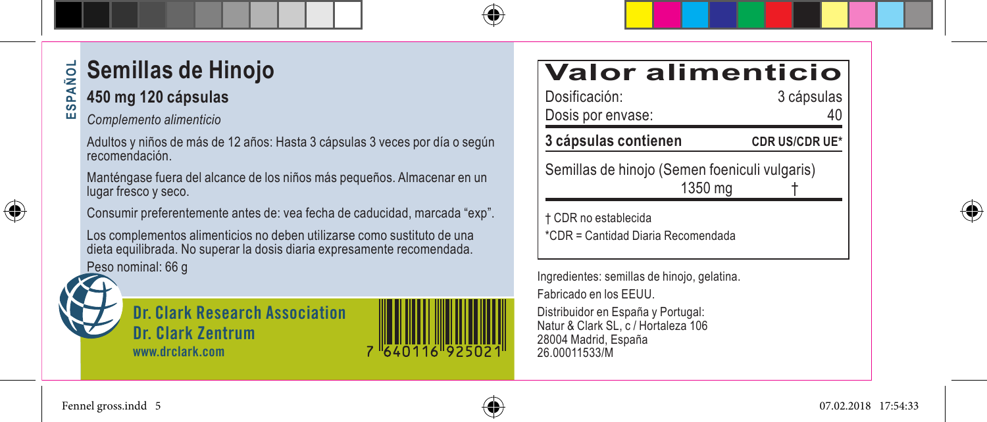#### **Semillas de Hinojo SP ESPAÑOL AdS 450 mg 120 cápsulas**

#### ũũ

*Complemento alimenticio*

Adultos y niños de más de 12 años: Hasta 3 cápsulas 3 veces por día o según recomendación.

Manténgase fuera del alcance de los niños más pequeños. Almacenar en un lugar fresco y seco.

Consumir preferentemente antes de: vea fecha de caducidad, marcada "exp".

Los complementos alimenticios no deben utilizarse como sustituto de una dieta equilibrada. No superar la dosis diaria expresamente recomendada. Peso nominal: 66 g



⊕

**Dr. Clark Research Association Dr. Clark Zentrum www.drclark.com**



|  |  | <b>Valor alimenticio</b> |  |  |
|--|--|--------------------------|--|--|
|  |  |                          |  |  |

| 3 cápsulas contienen | <b>CDR US/CDR UE*</b> |
|----------------------|-----------------------|
| Dosis por envase:    | 40                    |
| Dosificación:        | 3 cápsulas            |

Semillas de hinojo (Semen foeniculi vulgaris) 1350 mg †

† CDR no establecida \*CDR = Cantidad Diaria Recomendada

Ingredientes: semillas de hinojo, gelatina. Fabricado en los EEUU.

Distribuidor en España y Portugal: Natur & Clark SL, c / Hortaleza 106 28004 Madrid, España 26.00011533/M



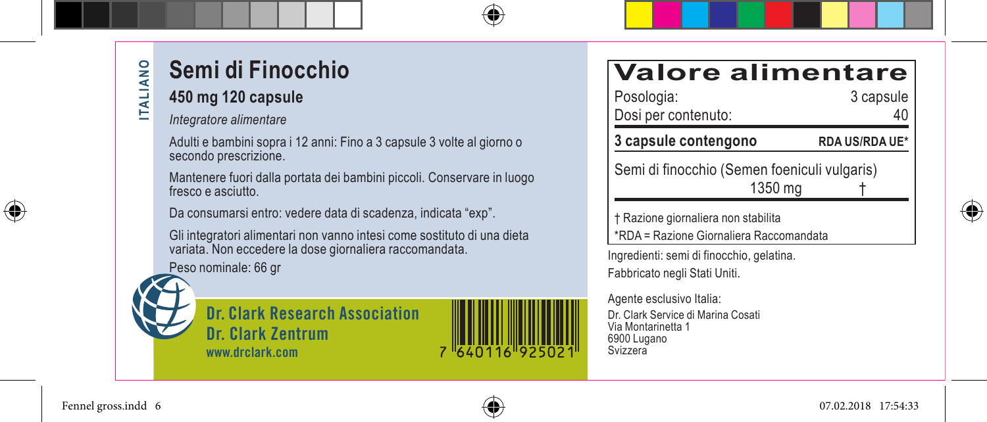# **Semi di Finocchio**

#### **450 mg 120 capsule**

*Integratore alimentare*

Adulti e bambini sopra i 12 anni: Fino a 3 capsule 3 volte al giorno o secondo prescrizione.

Mantenere fuori dalla portata dei bambini piccoli. Conservare in luogo fresco e asciutto.

Da consumarsi entro: vedere data di scadenza, indicata "exp".

Gli integratori alimentari non vanno intesi come sostituto di una dieta variata. Non eccedere la dose giornaliera raccomandata.

Peso nominale: 66 gr





| <b>Valore alimentare</b><br>Posologia:<br>Dosi per contenuto:                  | 3 capsule             |  |  |  |
|--------------------------------------------------------------------------------|-----------------------|--|--|--|
| 3 capsule contengono                                                           | <b>RDA US/RDA UE*</b> |  |  |  |
| Semi di finocchio (Semen foeniculi vulgaris)<br>1350 mg                        |                       |  |  |  |
| † Razione giornaliera non stabilita<br>*RDA = Razione Giornaliera Raccomandata |                       |  |  |  |
| Ingredienti: semi di finocchio, gelatina.<br>Fabbricato negli Stati Uniti.     |                       |  |  |  |
| Agente esclusivo Italia:                                                       |                       |  |  |  |

Agente esclusivo Italia: Dr. Clark Service di Marina Cosati Via Montarinetta 1 6900 Lugano Svizzera

 $\bigoplus$ 

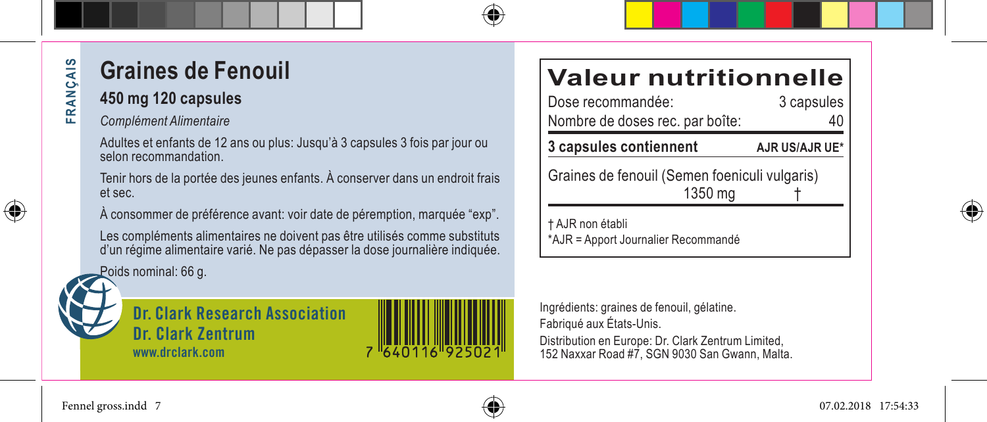# **Graines de Fenouil**

### **450 mg 120 capsules**

#### *Complément Alimentaire*

Adultes et enfants de 12 ans ou plus: Jusqu'à 3 capsules 3 fois par jour ou selon recommandation.

Tenir hors de la portée des jeunes enfants. À conserver dans un endroit frais et sec.

À consommer de préférence avant: voir date de péremption, marquée "exp".

Les compléments alimentaires ne doivent pas être utilisés comme substituts d'un régime alimentaire varié. Ne pas dépasser la dose journalière indiquée.

Poids nominal: 66 g.



**FRANÇAIS**

⊕

 $\frac{1}{2}$ RANÇA 됴

> **Dr. Clark Research Association Dr. Clark Zentrum www.drclark.com**

### Ingrédients: graines de fenouil, gélatine. Fabriqué aux États-Unis.

Distribution en Europe: Dr. Clark Zentrum Limited, 152 Naxxar Road #7, SGN 9030 San Gwann, Malta.

# **Valeur nutritionnelle**<br>Dose recommandée:<br>3 capsules

Dose recommandée: Nombre de doses rec. par boîte: 40 **3 capsules contiennent AJR US/AJR UE\***

Graines de fenouil (Semen foeniculi vulgaris)  $1350$  ma

† AJR non établi \*AJR = Apport Journalier Recommandé



Fennel gross.indd 7 07.02.2018 17:54:33